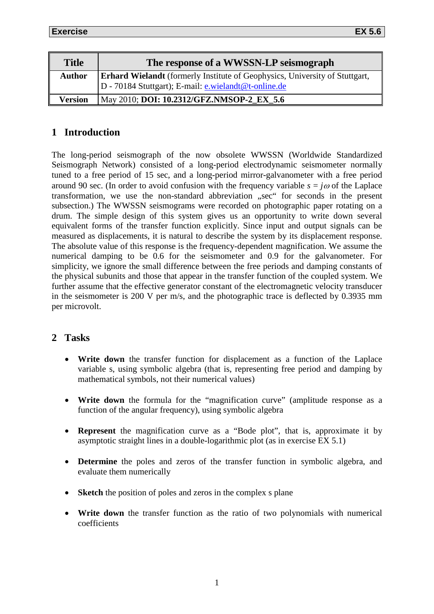| <b>Title</b>  | The response of a WWSSN-LP seismograph                                                                                                     |
|---------------|--------------------------------------------------------------------------------------------------------------------------------------------|
| <b>Author</b> | <b>Erhard Wielandt</b> (formerly Institute of Geophysics, University of Stuttgart,<br>D - 70184 Stuttgart); E-mail: e.wielandt@t-online.de |
| Version       | May 2010; DOI: 10.2312/GFZ.NMSOP-2_EX_5.6                                                                                                  |

## **1 Introduction**

The long-period seismograph of the now obsolete WWSSN (Worldwide Standardized Seismograph Network) consisted of a long-period electrodynamic seismometer normally tuned to a free period of 15 sec, and a long-period mirror-galvanometer with a free period around 90 sec. (In order to avoid confusion with the frequency variable  $s = j\omega$  of the Laplace transformation, we use the non-standard abbreviation "sec" for seconds in the present subsection.) The WWSSN seismograms were recorded on photographic paper rotating on a drum. The simple design of this system gives us an opportunity to write down several equivalent forms of the transfer function explicitly. Since input and output signals can be measured as displacements, it is natural to describe the system by its displacement response. The absolute value of this response is the frequency-dependent magnification. We assume the numerical damping to be 0.6 for the seismometer and 0.9 for the galvanometer. For simplicity, we ignore the small difference between the free periods and damping constants of the physical subunits and those that appear in the transfer function of the coupled system. We further assume that the effective generator constant of the electromagnetic velocity transducer in the seismometer is 200 V per m/s, and the photographic trace is deflected by 0.3935 mm per microvolt.

## **2 Tasks**

- **Write down** the transfer function for displacement as a function of the Laplace variable s, using symbolic algebra (that is, representing free period and damping by mathematical symbols, not their numerical values)
- **Write down** the formula for the "magnification curve" (amplitude response as a function of the angular frequency), using symbolic algebra
- **Represent** the magnification curve as a "Bode plot", that is, approximate it by asymptotic straight lines in a double-logarithmic plot (as in exercise EX 5.1)
- **Determine** the poles and zeros of the transfer function in symbolic algebra, and evaluate them numerically
- **Sketch** the position of poles and zeros in the complex s plane
- **Write down** the transfer function as the ratio of two polynomials with numerical coefficients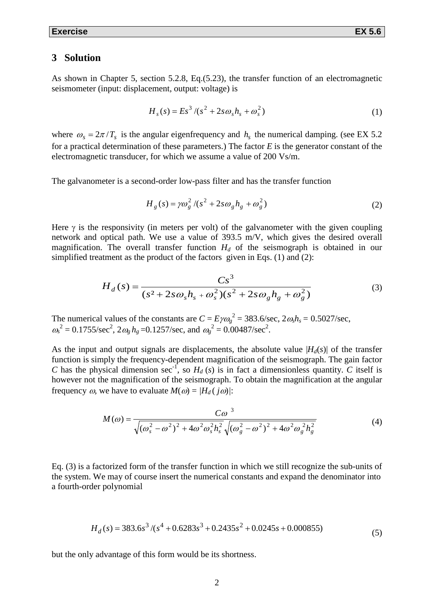## **3 Solution**

As shown in Chapter 5, section 5.2.8, Eq.(5.23), the transfer function of an electromagnetic seismometer (input: displacement, output: voltage) is

$$
H_s(s) = Es^3 / (s^2 + 2s\omega_s h_s + \omega_s^2)
$$
 (1)

where  $\omega_s = 2\pi/T_s$  is the angular eigenfrequency and  $h_s$  the numerical damping. (see EX 5.2) for a practical determination of these parameters.) The factor  $E$  is the generator constant of the electromagnetic transducer, for which we assume a value of 200 Vs/m.

The galvanometer is a second-order low-pass filter and has the transfer function

$$
H_g(s) = \gamma \omega_g^2 / (s^2 + 2s \omega_g h_g + \omega_g^2)
$$
 (2)

Here  $\gamma$  is the responsivity (in meters per volt) of the galvanometer with the given coupling network and optical path. We use a value of 393.5 m/V, which gives the desired overall magnification. The overall transfer function  $H_d$  of the seismograph is obtained in our simplified treatment as the product of the factors given in Eqs. (1) and (2):

$$
H_d(s) = \frac{Cs^3}{(s^2 + 2s\omega_s h_s + \omega_s^2)(s^2 + 2s\omega_g h_g + \omega_g^2)}
$$
(3)

The numerical values of the constants are  $C = E \gamma \omega_g^2 = 383.6/\text{sec}, 2\omega_s h_s = 0.5027/\text{sec},$  $\omega_s^2 = 0.1755/\text{sec}^2$ ,  $2\omega_g h_g = 0.1257/\text{sec}$ , and  $\omega_g^2 = 0.00487/\text{sec}^2$ .

As the input and output signals are displacements, the absolute value  $|H_d(s)|$  of the transfer function is simply the frequency-dependent magnification of the seismograph. The gain factor *C* has the physical dimension sec<sup>-1</sup>, so  $H_d$  (*s*) is in fact a dimensionless quantity. *C* itself is however not the magnification of the seismograph. To obtain the magnification at the angular frequency  $\omega$ , we have to evaluate  $M(\omega) = |H_d(j\omega)|$ :

$$
M(\omega) = \frac{C\omega^3}{\sqrt{(\omega_s^2 - \omega^2)^2 + 4\omega^2 \omega_s^2 h_s^2} \sqrt{(\omega_g^2 - \omega^2)^2 + 4\omega^2 \omega_g^2 h_g^2}}
$$
(4)

Eq. (3) is a factorized form of the transfer function in which we still recognize the sub-units of the system. We may of course insert the numerical constants and expand the denominator into a fourth-order polynomial

$$
H_d(s) = 383.6s^3 / (s^4 + 0.6283s^3 + 0.2435s^2 + 0.0245s + 0.000855)
$$
\n<sup>(5)</sup>

but the only advantage of this form would be its shortness.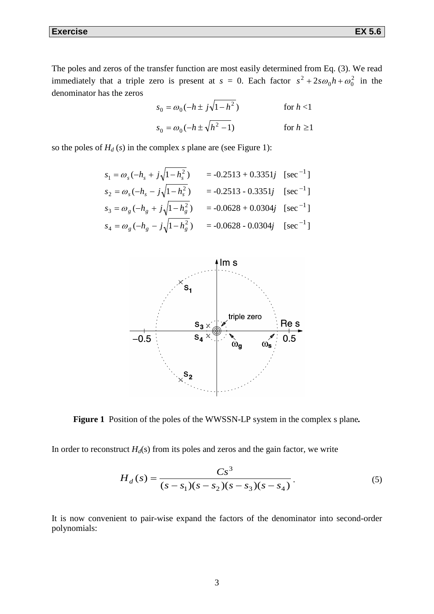The poles and zeros of the transfer function are most easily determined from Eq. (3). We read immediately that a triple zero is present at  $s = 0$ . Each factor  $s^2 + 2s\omega_0 h + \omega_0^2$  $s^2 + 2s\omega_0 h + \omega_0^2$  in the denominator has the zeros

$$
s_0 = \omega_0(-h \pm j\sqrt{1-h^2}) \qquad \text{for } h < 1
$$

$$
s_0 = \omega_0(-h \pm \sqrt{h^2 - 1}) \qquad \text{for } h \ge 1
$$

so the poles of  $H_d$  (*s*) in the complex *s* plane are (see Figure 1):

$$
s_1 = \omega_s (-h_s + j\sqrt{1 - h_s^2}) = -0.2513 + 0.3351j \quad \text{[sec}^{-1} \text{]}
$$
  
\n
$$
s_2 = \omega_s (-h_s - j\sqrt{1 - h_s^2}) = -0.2513 - 0.3351j \quad \text{[sec}^{-1} \text{]}
$$
  
\n
$$
s_3 = \omega_g (-h_g + j\sqrt{1 - h_g^2}) = -0.0628 + 0.0304j \quad \text{[sec}^{-1} \text{]}
$$
  
\n
$$
s_4 = \omega_g (-h_g - j\sqrt{1 - h_g^2}) = -0.0628 - 0.0304j \quad \text{[sec}^{-1} \text{]}
$$



**Figure 1** Position of the poles of the WWSSN-LP system in the complex s plane*.*

In order to reconstruct  $H_d(s)$  from its poles and zeros and the gain factor, we write

$$
H_d(s) = \frac{Cs^3}{(s - s_1)(s - s_2)(s - s_3)(s - s_4)}.
$$
\n(5)

It is now convenient to pair-wise expand the factors of the denominator into second-order polynomials: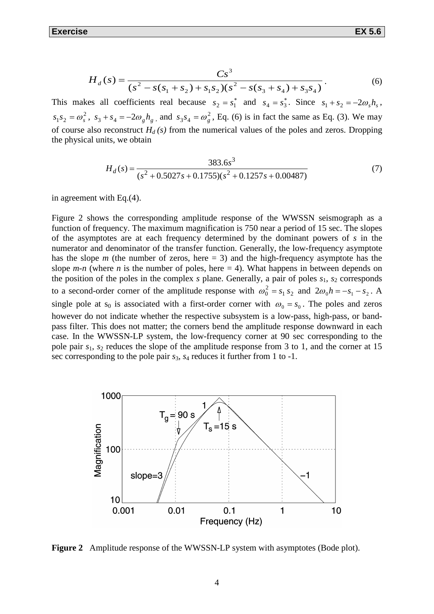$$
H_d(s) = \frac{Cs^3}{(s^2 - s(s_1 + s_2) + s_1 s_2)(s^2 - s(s_3 + s_4) + s_3 s_4)}.
$$
(6)

This makes all coefficients real because  $s_2 = s_1^*$  and  $s_4 = s_3^*$ . Since  $s_1 + s_2 = -2\omega_s h_s$ ,  $s_1 s_2 = \omega_s^2$ ,  $s_3 + s_4 = -2\omega_g h_g$ , and  $s_3 s_4 = \omega_g^2$ , Eq. (6) is in fact the same as Eq. (3). We may of course also reconstruct  $H_d(s)$  from the numerical values of the poles and zeros. Dropping the physical units, we obtain

$$
H_d(s) = \frac{383.6s^3}{(s^2 + 0.5027s + 0.1755)(s^2 + 0.1257s + 0.00487)}
$$
(7)

in agreement with Eq.(4).

Figure 2 shows the corresponding amplitude response of the WWSSN seismograph as a function of frequency. The maximum magnification is 750 near a period of 15 sec. The slopes of the asymptotes are at each frequency determined by the dominant powers of *s* in the numerator and denominator of the transfer function. Generally, the low-frequency asymptote has the slope  $m$  (the number of zeros, here  $= 3$ ) and the high-frequency asymptote has the slope  $m-n$  (where *n* is the number of poles, here  $= 4$ ). What happens in between depends on the position of the poles in the complex  $s$  plane. Generally, a pair of poles  $s_1$ ,  $s_2$  corresponds to a second-order corner of the amplitude response with  $\omega_0^2 = s_1 s_2$  and  $2\omega_0 h = -s_1 - s_2$ . A single pole at  $s_0$  is associated with a first-order corner with  $\omega_0 = s_0$ . The poles and zeros however do not indicate whether the respective subsystem is a low-pass, high-pass, or bandpass filter. This does not matter; the corners bend the amplitude response downward in each case. In the WWSSN-LP system, the low-frequency corner at 90 sec corresponding to the pole pair *s*1, *s*<sup>2</sup> reduces the slope of the amplitude response from 3 to 1, and the corner at 15 sec corresponding to the pole pair *s*3, *s*<sup>4</sup> reduces it further from 1 to -1.



**Figure 2** Amplitude response of the WWSSN-LP system with asymptotes (Bode plot).